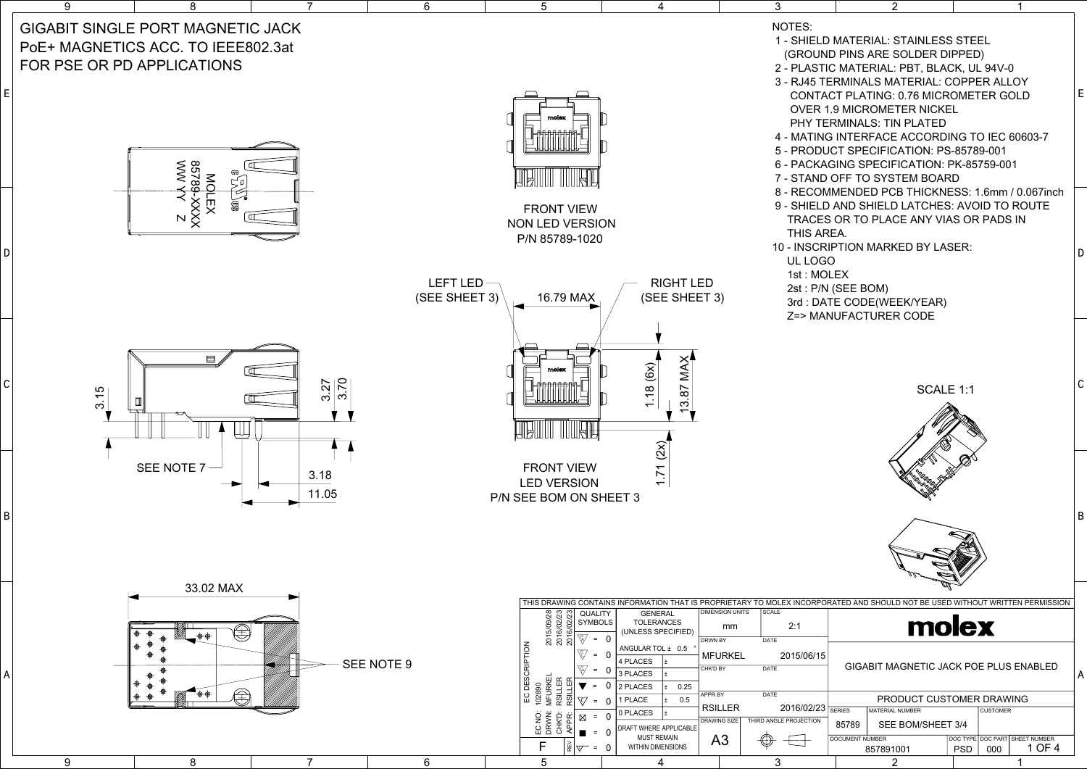3

4

5

|   | 2<br>1                                                                                                                                                                                                                                                                                                                                                                                          |   |  |  |  |  |  |  |  |
|---|-------------------------------------------------------------------------------------------------------------------------------------------------------------------------------------------------------------------------------------------------------------------------------------------------------------------------------------------------------------------------------------------------|---|--|--|--|--|--|--|--|
|   | D MATERIAL: STAINLESS STEEL<br>ND PINS ARE SOLDER DIPPED)<br>TIC MATERIAL: PBT, BLACK, UL 94V-0<br>TERMINALS MATERIAL: COPPER ALLOY<br><b>ACT PLATING: 0.76 MICROMETER GOLD</b><br><b>1.9 MICROMETER NICKEL</b><br><b>ERMINALS: TIN PLATED</b><br><b>IG INTERFACE ACCORDING TO IEC 60603-7</b><br>UCT SPECIFICATION: PS-85789-001<br>AGING SPECIFICATION: PK-85759-001<br>D OFF TO SYSTEM BOARD | E |  |  |  |  |  |  |  |
|   | MMENDED PCB THICKNESS: 1.6mm / 0.067inch<br>D AND SHIELD LATCHES: AVOID TO ROUTE<br><b>ES OR TO PLACE ANY VIAS OR PADS IN</b><br>REA.<br><b>RIPTION MARKED BY LASER:</b><br>GO<br>OLEX<br>N (SEE BOM)<br>ATE CODE(WEEK/YEAR)<br><b>ANUFACTURER CODE</b>                                                                                                                                         | D |  |  |  |  |  |  |  |
|   | SCALE 1:1<br>Â                                                                                                                                                                                                                                                                                                                                                                                  | C |  |  |  |  |  |  |  |
|   |                                                                                                                                                                                                                                                                                                                                                                                                 | B |  |  |  |  |  |  |  |
|   | ORATED AND SHOULD NOT BE USED WITHOUT WRITTEN PERMISSION                                                                                                                                                                                                                                                                                                                                        |   |  |  |  |  |  |  |  |
|   | <b>TOKEY</b>                                                                                                                                                                                                                                                                                                                                                                                    |   |  |  |  |  |  |  |  |
| 5 | <b>GIGABIT MAGNETIC JACK POE PLUS ENABLED</b><br>A                                                                                                                                                                                                                                                                                                                                              |   |  |  |  |  |  |  |  |
|   | PRODUCT CUSTOMER DRAWING                                                                                                                                                                                                                                                                                                                                                                        |   |  |  |  |  |  |  |  |
| 3 | <b>SERIES</b><br><b>MATERIAL NUMBER</b><br><b>CUSTOMER</b>                                                                                                                                                                                                                                                                                                                                      |   |  |  |  |  |  |  |  |
|   | SEE BOM/SHEET 3/4<br>85789<br><b>DOCUMENT NUMBER</b><br>DOC TYPE   DOC PART<br>SHEET NUMBER                                                                                                                                                                                                                                                                                                     |   |  |  |  |  |  |  |  |
|   | 1 OF 4<br>PSD<br>000<br>857891001                                                                                                                                                                                                                                                                                                                                                               |   |  |  |  |  |  |  |  |
|   | 2<br>1                                                                                                                                                                                                                                                                                                                                                                                          |   |  |  |  |  |  |  |  |

7

 $\overline{8}$ 



 $6$ 

9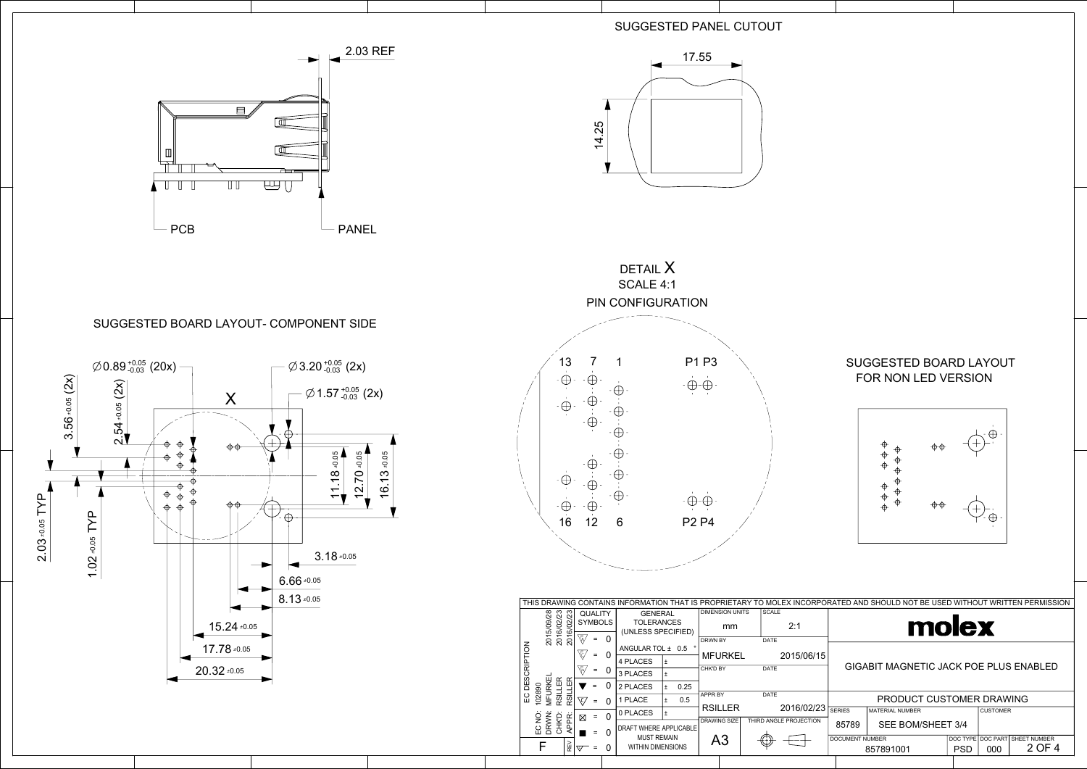|                    |                                                     |                                  |                 |                                         |                |                        |                                         |      |                     |                                     |                        |                                 |                                               | THIS DRAWING CONTAINS INFORMATION THAT IS PROPRIETARY TO MOLEX INCORPORATED AND SHOULD NOT BE USED WITHOUT WRITTEN PERMISSION |  |                 |  |  |  |  |
|--------------------|-----------------------------------------------------|----------------------------------|-----------------|-----------------------------------------|----------------|------------------------|-----------------------------------------|------|---------------------|-------------------------------------|------------------------|---------------------------------|-----------------------------------------------|-------------------------------------------------------------------------------------------------------------------------------|--|-----------------|--|--|--|--|
|                    |                                                     |                                  |                 |                                         | QUALITY        |                        | <b>GENERAL</b>                          |      |                     | <b>DIMENSION UNITS</b>              | <b>SCALE</b>           |                                 |                                               |                                                                                                                               |  |                 |  |  |  |  |
|                    |                                                     | 2015/09/28                       | 2016/02/23      |                                         | <b>SYMBOLS</b> |                        | <b>TOLERANCES</b><br>(UNLESS SPECIFIED) |      |                     | mm                                  |                        | 2:1                             |                                               | molex                                                                                                                         |  |                 |  |  |  |  |
|                    |                                                     |                                  |                 | Ŵ                                       | $=$            |                        | ANGULAR TOL ± 0.5                       |      | <b>DRWN BY</b>      |                                     | <b>DATE</b>            |                                 |                                               |                                                                                                                               |  |                 |  |  |  |  |
| <b>DESCRIPTION</b> |                                                     |                                  |                 | ৻ঢ়                                     | $=$            | 0                      | 4 PLACES                                |      |                     | <b>MFURKEL</b>                      |                        | 2015/06/15                      | <b>GIGABIT MAGNETIC JACK POE PLUS ENABLED</b> |                                                                                                                               |  |                 |  |  |  |  |
|                    |                                                     |                                  |                 | ∖ե⁄                                     | $=$            | 0                      | 3 PLACES                                |      | CHK'D BY            |                                     | <b>DATE</b>            |                                 |                                               |                                                                                                                               |  |                 |  |  |  |  |
|                    |                                                     |                                  | LER             |                                         |                |                        | 2 PLACES                                | 0.25 |                     |                                     |                        |                                 |                                               |                                                                                                                               |  |                 |  |  |  |  |
|                    | 102890<br>EC                                        | <b>MFURKEI</b>                   | RSILLER<br>RSIL |                                         |                |                        | <b>PLACE</b>                            | 0.5  | <b>APPR BY</b>      |                                     | <b>DATE</b>            |                                 | PRODUCT CUSTOMER DRAWING                      |                                                                                                                               |  |                 |  |  |  |  |
|                    |                                                     |                                  |                 |                                         |                | $\Omega$               | 0 PLACES                                |      |                     | <b>RSILLER</b>                      |                        | 2016/02/23                      | <b>SERIES</b>                                 | <b>MATERIAL NUMBER</b>                                                                                                        |  | <b>CUSTOMER</b> |  |  |  |  |
|                    | CHK <sup>D</sup> :<br>EC NO:<br>DRWN:<br>APPR:<br>⊠ |                                  |                 |                                         |                | DRAFT WHERE APPLICABLE |                                         |      | <b>DRAWING SIZE</b> |                                     | THIRD ANGLE PROJECTION | 85789                           | SEE BOM/SHEET 3/4                             |                                                                                                                               |  |                 |  |  |  |  |
|                    |                                                     | 띭<br>0<br>$\triangledown$<br>$=$ |                 | <b>MUST REMAIN</b><br>WITHIN DIMENSIONS |                |                        | A <sub>3</sub>                          |      |                     | <b>DOCUMENT NUMBER</b><br>857891001 |                        | DOC TYPE DOC PART<br><b>PSD</b> | 000                                           | <b>SHEET NUMBER</b><br>2 OF 4                                                                                                 |  |                 |  |  |  |  |
|                    |                                                     |                                  |                 |                                         |                |                        |                                         |      |                     |                                     |                        |                                 |                                               |                                                                                                                               |  |                 |  |  |  |  |



## SUGGESTED PANEL CUTOUT

## SUGGESTED BOARD LAYOUT FOR NON LED VERSION









## SUGGESTED BOARD LAYOUT- COMPONENT SIDE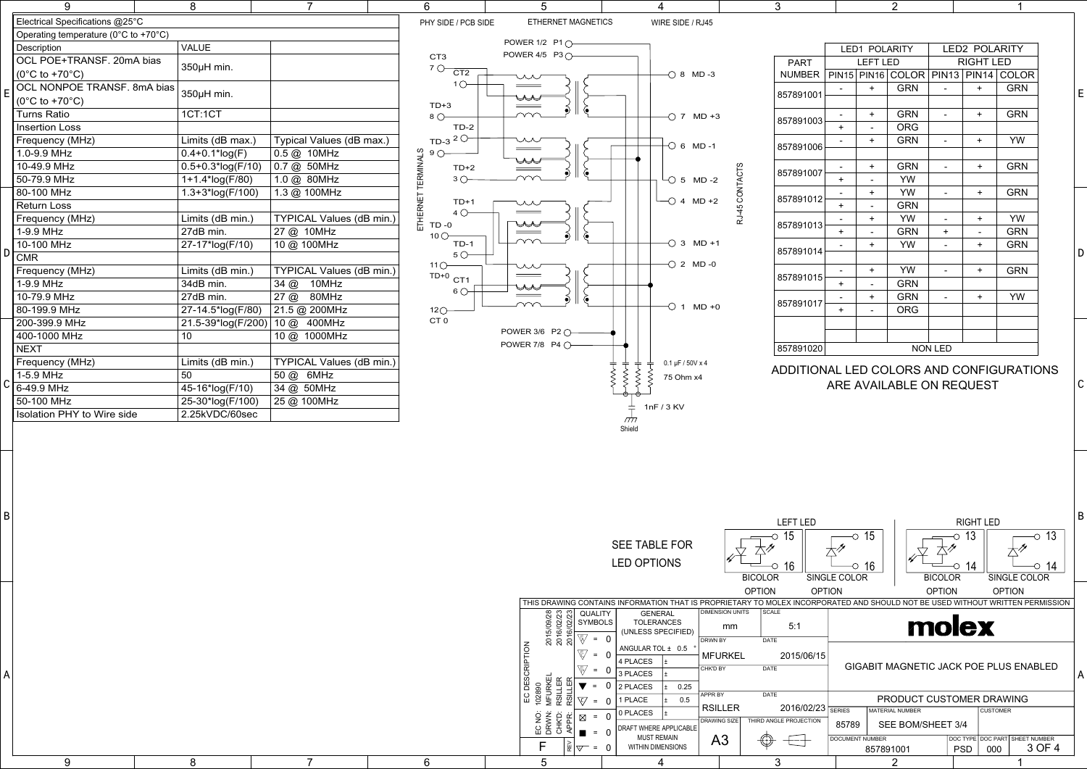|--|--|

|  |  |   |                                                                                                                                                                                                                                                                                                         | <b>SEE TABLE FOR</b>                                                                                                                                                                                             | 15                                                                                                                                                                                                                                    | LEFT LED<br>◡                                                                                     | 15                                                                                                                                       | <b>RIGHT LED</b><br>13                              | 13<br>$\circ$                         | B |
|--|--|---|---------------------------------------------------------------------------------------------------------------------------------------------------------------------------------------------------------------------------------------------------------------------------------------------------------|------------------------------------------------------------------------------------------------------------------------------------------------------------------------------------------------------------------|---------------------------------------------------------------------------------------------------------------------------------------------------------------------------------------------------------------------------------------|---------------------------------------------------------------------------------------------------|------------------------------------------------------------------------------------------------------------------------------------------|-----------------------------------------------------|---------------------------------------|---|
|  |  |   |                                                                                                                                                                                                                                                                                                         | <b>LED OPTIONS</b>                                                                                                                                                                                               | 16<br><b>BICOLOR</b>                                                                                                                                                                                                                  | $+$ 11<br>SINGLE COLOR                                                                            | $\overline{\circ}$ 16<br><b>BICOLOR</b>                                                                                                  | 14                                                  | $\overline{\circ}$ 14<br>SINGLE COLOR |   |
|  |  |   | THIS DRAWING CONTAINS INFORMATION THAT<br>QUALITY<br><b>SYMBOLS</b><br>$\sigma$<br>015<br>016<br>016<br>016<br>$\sqrt{2}$<br>$= 0$<br>$\overline{6}$<br>$= 0$<br>$= 0$<br>  EC DES<br>  102890<br>  MFURKE<br>  RSILLEF<br>  RSILLEF<br>-0<br>EC NO.<br>DRWN.<br>APPR.<br>$\boxtimes$<br>$= 0$<br>$= 0$ | <b>GENERAL</b><br><b>TOLERANCES</b><br>(UNLESS SPECIFIED)<br>ANGULAR TOL ± 0.5<br>4 PLACES<br>3 PLACES<br>2 PLACES<br>0.25<br>$= 0$   1 PLACE<br>0.5<br>0 PLACES<br>DRAFT WHERE APPLICABLE<br><b>MUST REMAIN</b> | <b>OPTION</b><br>IS PROPRIFTARY<br>DIMENSION UNITS<br><b>SCALE</b><br>mm<br>DRWN BY<br>DATE<br><b>MFURKEL</b><br><b>DATE</b><br>CHK'D BY<br>APPR BY<br><b>DATE</b><br><b>RSILLER</b><br>THIRD ANGLE PROJECTION<br><b>DRAWING SIZE</b> | <b>OPTION</b><br>TO MOLEX INCORPORATED AND SHOULD NOT<br>5:1<br>2015/06/15<br>2016/02/23<br>85789 | <b>OPTION</b><br>TT OD GEY<br>GIGABIT MAGNETIC JACK POE PLUS ENABLED<br>PRODUCT CUSTOMER DRAWING<br>MATERIAL NUMBER<br>SEE BOM/SHEET 3/4 | <b>OPTION</b><br><b>CUSTOMER</b>                    | T BE USED WITHOUT WRITTEN PERMISSION  |   |
|  |  | 6 |                                                                                                                                                                                                                                                                                                         | WITHIN DIMENSIONS                                                                                                                                                                                                | A <sub>3</sub><br>$\bigoplus$<br>3                                                                                                                                                                                                    | DOCUMENT NUMBER<br>————                                                                           | 857891001<br>$\sim$                                                                                                                      | DOC TYPE DOC PART SHEET NUMBER<br><b>PSD</b><br>000 | 3 OF 4                                |   |

| 9                                    | 8                     |                                  | 6                                     | 5                      |                                    | 3          |           |               | 2                                          |                |                      |                                          |   |
|--------------------------------------|-----------------------|----------------------------------|---------------------------------------|------------------------|------------------------------------|------------|-----------|---------------|--------------------------------------------|----------------|----------------------|------------------------------------------|---|
| Electrical Specifications @25°C      |                       |                                  | PHY SIDE / PCB SIDE                   | ETHERNET MAGNETICS     | WIRE SIDE / RJ45                   |            |           |               |                                            |                |                      |                                          |   |
| Operating temperature (0°C to +70°C) |                       |                                  |                                       |                        |                                    |            |           |               |                                            |                |                      |                                          |   |
| Description                          | <b>VALUE</b>          |                                  |                                       | POWER 1/2 P1 ()        |                                    |            |           |               | LED1 POLARITY                              |                | <b>LED2 POLARITY</b> |                                          |   |
| OCL POE+TRANSF. 20mA bias            | 350µH min.            |                                  | CT <sub>3</sub>                       | POWER 4/5 P3 0-        |                                    |            | PART      |               | <b>LEFT LED</b>                            |                | <b>RIGHT LED</b>     |                                          |   |
| $(0^{\circ}$ C to +70 $^{\circ}$ C)  |                       |                                  | $70 - C$ T2                           |                        | $-$ 0 8 MD -3                      |            |           |               | NUMBER PIN15 PIN16 COLOR PIN13 PIN14 COLOR |                |                      |                                          |   |
| OCL NONPOE TRANSF. 8mA bias          | 350µH min.            |                                  | $1$ $\bigcirc$                        |                        |                                    |            |           |               | <b>GRN</b>                                 |                | $+$                  | <b>GRN</b>                               | E |
| $(0^{\circ}C$ to +70 $^{\circ}C)$    |                       |                                  | $TD+3$                                | ♨<br>____              |                                    |            | 857891001 |               |                                            |                |                      |                                          |   |
| <b>Turns Ratio</b>                   | 1CT:1CT               |                                  | $8^\circ$                             |                        | $-$ 7 MD +3                        |            |           | $+$<br>$\sim$ | <b>GRN</b>                                 | $\blacksquare$ | $+$                  | <b>GRN</b>                               |   |
| <b>Insertion Loss</b>                |                       |                                  | $TD-2$                                |                        |                                    |            | 857891003 |               | <b>ORG</b>                                 |                |                      |                                          |   |
| Frequency (MHz)                      | Limits (dB max.)      | Typical Values (dB max.)         | TD-3 $2^\circ$                        | ᄊ                      | $\overline{\bigcirc}$ 6 MD-1       |            | 857891006 |               | <b>GRN</b>                                 | $\blacksquare$ | $\overline{+}$       | YW                                       |   |
| 1.0-9.9 MHz                          | $0.4 + 0.1*log(F)$    | 0.5 @ 10MHz                      |                                       | $\qquad \qquad =$      |                                    |            |           |               |                                            |                |                      |                                          |   |
| 10-49.9 MHz                          | $0.5 + 0.3*log(F/10)$ | 0.7 @ 50MHz                      | TERMINALS<br>C<br>C<br>$TD+2$         | حمحلا<br>$\sim$ $\sim$ |                                    |            | 857891007 |               | <b>GRN</b>                                 | $\sim$         |                      | <b>GRN</b>                               |   |
| 50-79.9 MHz                          | 1+1.4*log(F/80)       | 1.0 @ 80MHz                      | $3^{\circ}$                           |                        | $-$ 5 MD -2                        | ACT.       |           | $+$           | <b>YW</b>                                  |                |                      |                                          |   |
| 80-100 MHz                           | 1.3+3*log(F/100)      | 1.3 @ 100MHz                     |                                       |                        |                                    | <b>NCC</b> | 857891012 | $+$           | YW                                         | $\blacksquare$ | $+$                  | <b>GRN</b>                               |   |
| <b>Return Loss</b>                   |                       |                                  | <b>HERNET</b><br>$TD+$<br>$4 \cap$    |                        | $\sqcup$ 4 MD +2                   |            |           | $+$           | <b>GRN</b>                                 |                |                      |                                          |   |
| Frequency (MHz)                      | Limits (dB min.)      | <b>TYPICAL Values (dB min.)</b>  | $TD - 0$                              | ♨                      |                                    | 군          | 857891013 | $+$           | <b>YW</b>                                  | $\blacksquare$ | $+$                  | YW                                       |   |
| 1-9.9 MHz                            | 27dB min.             | 27 @ 10MHz                       | 10 $\circ$                            |                        |                                    |            |           | $+$           | <b>GRN</b>                                 | $+$            |                      | <b>GRN</b>                               |   |
| 10-100 MHz                           | 27-17*log(F/10)       | 10 @ 100MHz                      | $TD-1$                                |                        | $\overline{\bigcirc}$ 3 MD +1      |            | 857891014 | $+$           | YW                                         | $\sim$         | $\overline{+}$       | <b>GRN</b>                               |   |
| $\overline{\text{CMR}}$              |                       |                                  | $5^\circ$<br>$11^\circ$               |                        | $-$ 2 MD -0                        |            |           |               |                                            |                |                      |                                          |   |
| Frequency (MHz)                      | Limits (dB min.)      | TYPICAL Values (dB min.)         | $TD+0$ CT1                            |                        |                                    |            | 857891015 |               | YW                                         |                |                      | <b>GRN</b>                               |   |
| 1-9.9 MHz                            | 34dB min.             | 34 @ 10MHz                       | $6^\circ$                             | ┻                      |                                    |            |           | $+$           | <b>GRN</b>                                 |                |                      |                                          |   |
| 10-79.9 MHz                          | 27dB min.             | 27 @ 80MHz                       |                                       | 6                      | $-$ 0 1 MD + 0                     |            | 857891017 |               | <b>GRN</b>                                 |                | $\overline{+}$       | YW                                       |   |
| 80-199.9 MHz                         | 27-14.5*log(F/80)     | 21.5 @ 200MHz                    | $12$ <sup><math>\bigcirc</math></sup> |                        |                                    |            |           |               | <b>ORG</b>                                 |                |                      |                                          |   |
| 200-399.9 MHz                        |                       | 21.5-39*log(F/200)   10 @ 400MHz | CT <sub>0</sub>                       | POWER 3/6 P2 ()        |                                    |            |           |               |                                            |                |                      |                                          |   |
| 400-1000 MHz                         | 10                    | 10 @ 1000MHz                     |                                       | POWER 7/8 P4 0         |                                    |            |           |               |                                            |                |                      |                                          |   |
| <b>NEXT</b>                          |                       |                                  |                                       |                        |                                    |            | 857891020 |               |                                            | NON LED        |                      |                                          |   |
| Frequency (MHz)                      | Limits (dB min.)      | TYPICAL Values (dB min.)         |                                       |                        | $0.1 \,\mathrm{\upmu F}$ / 50V x 4 |            |           |               |                                            |                |                      | ADDITIONAL LED COLORS AND CONFIGURATIONS |   |
| 1-5.9 MHz                            | 50                    | 50 @ 6MHz                        |                                       |                        | 75 Ohm x4                          |            |           |               | ARE AVAILABLE ON REQUEST                   |                |                      |                                          |   |
| 6-49.9 MHz                           | 45-16*log(F/10)       | 34 @ 50MHz                       |                                       |                        |                                    |            |           |               |                                            |                |                      |                                          |   |
| 50-100 MHz                           | 25-30*log(F/100)      | 25 @ 100MHz                      |                                       |                        | 1nF / 3 KV                         |            |           |               |                                            |                |                      |                                          |   |
| <b>Isolation PHY to Wire side</b>    | 2.25kVDC/60sec        |                                  |                                       |                        |                                    |            |           |               |                                            |                |                      |                                          |   |



|               |              | <b>LED1 POLARITY</b> |             | <b>LED2 POLARITY</b>     |                  |              |  |  |  |
|---------------|--------------|----------------------|-------------|--------------------------|------------------|--------------|--|--|--|
| <b>PART</b>   |              | <b>LEFT LED</b>      |             |                          | <b>RIGHT LED</b> |              |  |  |  |
| <b>NUMBER</b> | <b>PIN15</b> |                      | PIN16 COLOR | <b>PIN13</b>             | PIN14            | <b>COLOR</b> |  |  |  |
| 857891001     |              | $\ddot{}$            | <b>GRN</b>  |                          | $\ddot{}$        | <b>GRN</b>   |  |  |  |
|               |              |                      |             |                          |                  |              |  |  |  |
| 857891003     |              | $\ddot{}$            | <b>GRN</b>  | $\overline{\phantom{a}}$ | $\pm$            | <b>GRN</b>   |  |  |  |
|               | $\pm$        |                      | <b>ORG</b>  |                          |                  |              |  |  |  |
| 857891006     |              | $\ddot{}$            | <b>GRN</b>  | $\overline{\phantom{a}}$ | $\ddot{}$        | <b>YW</b>    |  |  |  |
|               |              |                      |             |                          |                  |              |  |  |  |
| 857891007     | -            | $\ddot{}$            | <b>GRN</b>  | $\overline{\phantom{a}}$ | $+$              | <b>GRN</b>   |  |  |  |
|               | +            |                      | <b>YW</b>   |                          |                  |              |  |  |  |
| 857891012     |              | $\ddot{}$            | <b>YW</b>   | $\overline{\phantom{a}}$ | $\ddot{}$        | <b>GRN</b>   |  |  |  |
|               | $\pm$        |                      | <b>GRN</b>  |                          |                  |              |  |  |  |
| 857891013     |              | +                    | <b>YW</b>   | $\blacksquare$           | $\ddot{}$        | <b>YW</b>    |  |  |  |
|               | $\pm$        |                      | <b>GRN</b>  | $\ddot{}$                |                  | <b>GRN</b>   |  |  |  |
| 857891014     |              | $\ddot{}$            | <b>YW</b>   |                          | $\pm$            | <b>GRN</b>   |  |  |  |
|               |              |                      |             |                          |                  |              |  |  |  |
| 857891015     |              | $\ddot{}$            | <b>YW</b>   |                          | $\ddot{}$        | <b>GRN</b>   |  |  |  |
|               | $\ddot{}$    |                      | <b>GRN</b>  |                          |                  |              |  |  |  |
| 857891017     | Ξ.           | $\ddot{}$            | <b>GRN</b>  |                          | $\ddot{}$        | <b>YW</b>    |  |  |  |
|               | $+$          |                      | <b>ORG</b>  |                          |                  |              |  |  |  |
|               |              |                      |             |                          |                  |              |  |  |  |
|               |              |                      |             |                          |                  |              |  |  |  |
| 857891020     |              |                      |             | <b>NON LED</b>           |                  |              |  |  |  |

## ADDITIONAL LED COLORS AND CONFIGURATIONS